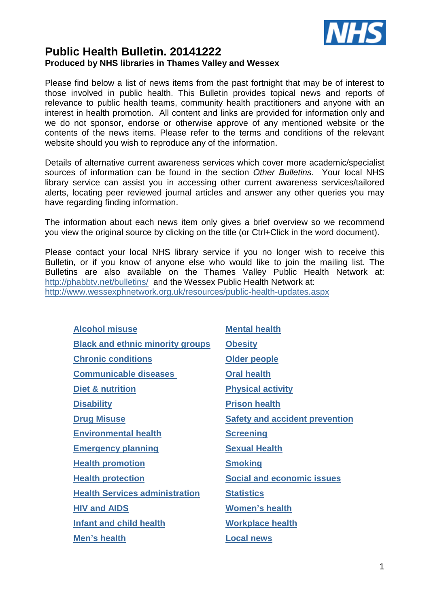

### **Public Health Bulletin. 20141222 Produced by NHS libraries in Thames Valley and Wessex**

Please find below a list of news items from the past fortnight that may be of interest to those involved in public health. This Bulletin provides topical news and reports of relevance to public health teams, community health practitioners and anyone with an interest in health promotion. All content and links are provided for information only and we do not sponsor, endorse or otherwise approve of any mentioned website or the contents of the news items. Please refer to the terms and conditions of the relevant website should you wish to reproduce any of the information.

Details of alternative current awareness services which cover more academic/specialist sources of information can be found in the section Other Bulletins. Your local NHS library service can assist you in accessing other current awareness services/tailored alerts, locating peer reviewed journal articles and answer any other queries you may have regarding finding information.

The information about each news item only gives a brief overview so we recommend you view the original source by clicking on the title (or Ctrl+Click in the word document).

Please contact your local NHS library service if you no longer wish to receive this Bulletin, or if you know of anyone else who would like to join the mailing list. The Bulletins are also available on the Thames Valley Public Health Network at: http://phabbtv.net/bulletins/ and the Wessex Public Health Network at: http://www.wessexphnetwork.org.uk/resources/public-health-updates.aspx

| <b>Alcohol misuse</b>                   | <b>Mental health</b>                  |
|-----------------------------------------|---------------------------------------|
| <b>Black and ethnic minority groups</b> | <b>Obesity</b>                        |
| <b>Chronic conditions</b>               | Older people                          |
| <b>Communicable diseases</b>            | <b>Oral health</b>                    |
| Diet & nutrition                        | <b>Physical activity</b>              |
| <b>Disability</b>                       | <b>Prison health</b>                  |
| <b>Drug Misuse</b>                      | <b>Safety and accident prevention</b> |
| <b>Environmental health</b>             | <b>Screening</b>                      |
| <b>Emergency planning</b>               | <b>Sexual Health</b>                  |
| <b>Health promotion</b>                 | <b>Smoking</b>                        |
| <b>Health protection</b>                | <b>Social and economic issues</b>     |
| <b>Health Services administration</b>   | <b>Statistics</b>                     |
| <b>HIV and AIDS</b>                     | <b>Women's health</b>                 |
| <b>Infant and child health</b>          | <b>Workplace health</b>               |
| Men's health                            | <b>Local news</b>                     |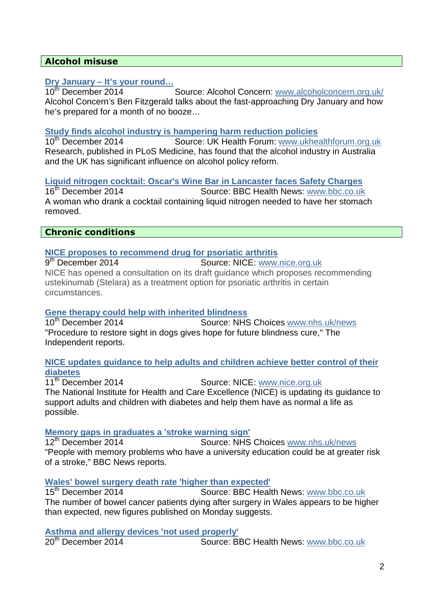### **Alcohol misuse**

### **Dry January – It's your round…**

10th December 2014 Source: Alcohol Concern: www.alcoholconcern.org.uk/ Alcohol Concern's Ben Fitzgerald talks about the fast-approaching Dry January and how he's prepared for a month of no booze…

## **Study finds alcohol industry is hampering harm reduction policies**<br>10<sup>th</sup> December 2014 **Source: UK Health Forum:** www.ukhealth

Source: UK Health Forum: www.ukhealthforum.org.uk Research, published in PLoS Medicine, has found that the alcohol industry in Australia and the UK has significant influence on alcohol policy reform.

### **Liquid nitrogen cocktail: Oscar's Wine Bar in Lancaster faces Safety Charges**

16<sup>th</sup> December 2014 Source: BBC Health News: www.bbc.co.uk A woman who drank a cocktail containing liquid nitrogen needed to have her stomach removed.

### **Chronic conditions**

### **NICE proposes to recommend drug for psoriatic arthritis**

9<sup>th</sup> December 2014 Source: NICE: www.nice.org.uk NICE has opened a consultation on its draft guidance which proposes recommending ustekinumab (Stelara) as a treatment option for psoriatic arthritis in certain circumstances.

### **Gene therapy could help with inherited blindness**

10<sup>th</sup> December 2014 Source: NHS Choices www.nhs.uk/news "Procedure to restore sight in dogs gives hope for future blindness cure," The Independent reports.

### **NICE updates guidance to help adults and children achieve better control of their diabetes**

11th December 2014 Source: NICE: www.nice.org.uk The National Institute for Health and Care Excellence (NICE) is updating its guidance to support adults and children with diabetes and help them have as normal a life as possible.

### **Memory gaps in graduates a 'stroke warning sign'**

12th December 2014 Source: NHS Choices www.nhs.uk/news "People with memory problems who have a university education could be at greater risk of a stroke," BBC News reports.

### **Wales' bowel surgery death rate 'higher than expected'**

15<sup>th</sup> December 2014 Source: BBC Health News: www.bbc.co.uk The number of bowel cancer patients dying after surgery in Wales appears to be higher than expected, new figures published on Monday suggests.

### **Asthma and allergy devices 'not used properly'**<br>20<sup>th</sup> December 2014

Source: BBC Health News: www.bbc.co.uk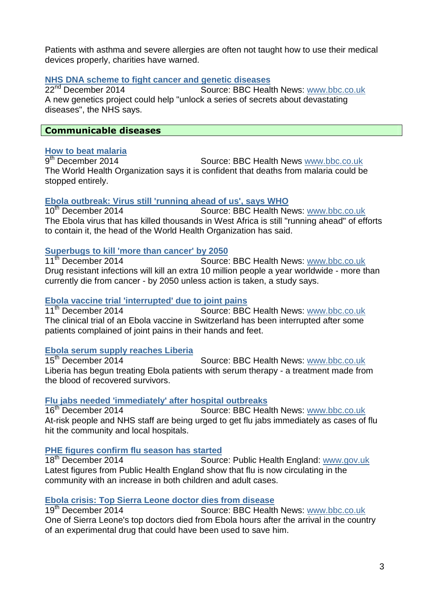Patients with asthma and severe allergies are often not taught how to use their medical devices properly, charities have warned.

### **NHS DNA scheme to fight cancer and genetic diseases**

22<sup>nd</sup> December 2014 **Source: BBC Health News: www.bbc.co.uk** A new genetics project could help "unlock a series of secrets about devastating diseases", the NHS says.

### **Communicable diseases**

### **How to beat malaria**

 $9<sup>th</sup>$  December 2014 Source: BBC Health News www.bbc.co.uk The World Health Organization says it is confident that deaths from malaria could be stopped entirely.

# **Ebola outbreak: Virus still 'running ahead of us', says WHO**

Source: BBC Health News: www.bbc.co.uk The Ebola virus that has killed thousands in West Africa is still "running ahead" of efforts to contain it, the head of the World Health Organization has said.

### **Superbugs to kill 'more than cancer' by 2050**

11<sup>th</sup> December 2014 **Source: BBC Health News: www.bbc.co.uk** Drug resistant infections will kill an extra 10 million people a year worldwide - more than currently die from cancer - by 2050 unless action is taken, a study says.

### **Ebola vaccine trial 'interrupted' due to joint pains**

11<sup>th</sup> December 2014 Source: BBC Health News: www.bbc.co.uk The clinical trial of an Ebola vaccine in Switzerland has been interrupted after some patients complained of joint pains in their hands and feet.

# **Ebola serum supply reaches Liberia**

Source: BBC Health News: www.bbc.co.uk Liberia has begun treating Ebola patients with serum therapy - a treatment made from the blood of recovered survivors.

### **Flu jabs needed 'immediately' after hospital outbreaks**

16<sup>th</sup> December 2014 Source: BBC Health News: www.bbc.co.uk At-risk people and NHS staff are being urged to get flu jabs immediately as cases of flu hit the community and local hospitals.

### **PHE figures confirm flu season has started**

18<sup>th</sup> December 2014 **Source: Public Health England: www.gov.uk** Latest figures from Public Health England show that flu is now circulating in the community with an increase in both children and adult cases.

## **Ebola crisis: Top Sierra Leone doctor dies from disease**

Source: BBC Health News: www.bbc.co.uk One of Sierra Leone's top doctors died from Ebola hours after the arrival in the country of an experimental drug that could have been used to save him.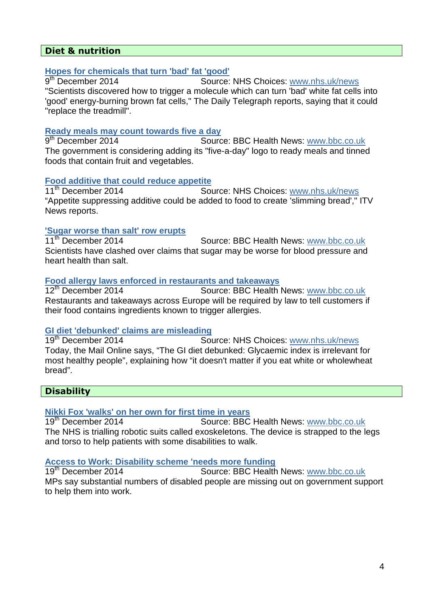### **Diet & nutrition**

### **Hopes for chemicals that turn 'bad' fat 'good'**

9<sup>th</sup> December 2014 Source: NHS Choices: www.nhs.uk/news "Scientists discovered how to trigger a molecule which can turn 'bad' white fat cells into 'good' energy-burning brown fat cells," The Daily Telegraph reports, saying that it could "replace the treadmill".

#### **Ready meals may count towards five a day**

9<sup>th</sup> December 2014 Source: BBC Health News: www.bbc.co.uk The government is considering adding its "five-a-day" logo to ready meals and tinned foods that contain fruit and vegetables.

### **Food additive that could reduce appetite**

11<sup>th</sup> December 2014 Source: NHS Choices: www.nhs.uk/news "Appetite suppressing additive could be added to food to create 'slimming bread'," ITV News reports.

#### **'Sugar worse than salt' row erupts**

11<sup>th</sup> December 2014 Source: BBC Health News: www.bbc.co.uk Scientists have clashed over claims that sugar may be worse for blood pressure and heart health than salt.

## **Food allergy laws enforced in restaurants and takeaways**

Source: BBC Health News: www.bbc.co.uk Restaurants and takeaways across Europe will be required by law to tell customers if their food contains ingredients known to trigger allergies.

### **GI diet 'debunked' claims are misleading**

19th December 2014 Source: NHS Choices: www.nhs.uk/news Today, the Mail Online says, "The GI diet debunked: Glycaemic index is irrelevant for most healthy people", explaining how "it doesn't matter if you eat white or wholewheat bread".

### **Disability**

### **Nikki Fox 'walks' on her own for first time in years**

19<sup>th</sup> December 2014 **Source: BBC Health News: www.bbc.co.uk** The NHS is trialling robotic suits called exoskeletons. The device is strapped to the legs and torso to help patients with some disabilities to walk.

### **Access to Work: Disability scheme 'needs more funding**

19th December 2014 Source: BBC Health News: www.bbc.co.uk MPs say substantial numbers of disabled people are missing out on government support to help them into work.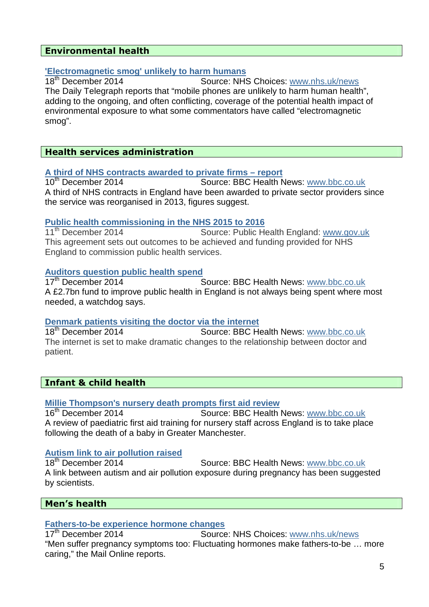### **Environmental health**

# **'Electromagnetic smog' unlikely to harm humans**

Source: NHS Choices: www.nhs.uk/news The Daily Telegraph reports that "mobile phones are unlikely to harm human health", adding to the ongoing, and often conflicting, coverage of the potential health impact of environmental exposure to what some commentators have called "electromagnetic smog".

### **Health services administration**

# **A third of NHS contracts awarded to private firms – report**

Source: BBC Health News: www.bbc.co.uk A third of NHS contracts in England have been awarded to private sector providers since the service was reorganised in 2013, figures suggest.

#### **Public health commissioning in the NHS 2015 to 2016**

11th December 2014 Source: Public Health England: www.gov.uk This agreement sets out outcomes to be achieved and funding provided for NHS England to commission public health services.

## **Auditors question public health spend**

Source: BBC Health News: www.bbc.co.uk A £2.7bn fund to improve public health in England is not always being spent where most needed, a watchdog says.

# **Denmark patients visiting the doctor via the internet 18<sup>th</sup> December 2014 Source: BBC He**

Source: BBC Health News: www.bbc.co.uk The internet is set to make dramatic changes to the relationship between doctor and patient.

### **Infant & child health**

### **Millie Thompson's nursery death prompts first aid review**

16<sup>th</sup> December 2014 Source: BBC Health News: www.bbc.co.uk A review of paediatric first aid training for nursery staff across England is to take place following the death of a baby in Greater Manchester.

### **Autism link to air pollution raised**

18<sup>th</sup> December 2014 Source: BBC Health News: www.bbc.co.uk A link between autism and air pollution exposure during pregnancy has been suggested by scientists.

### **Men's health**

## **Fathers-to-be experience hormone changes**<br>17<sup>th</sup> December 2014 **Source**

Source: NHS Choices: www.nhs.uk/news "Men suffer pregnancy symptoms too: Fluctuating hormones make fathers-to-be … more caring," the Mail Online reports.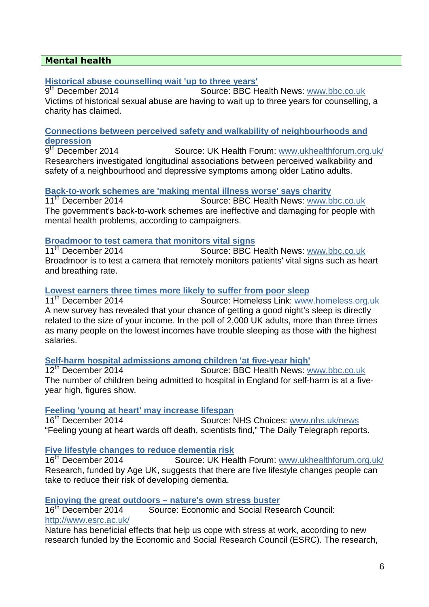### **Mental health**

### **Historical abuse counselling wait 'up to three years'**

9<sup>th</sup> December 2014 Source: BBC Health News: www.bbc.co.uk Victims of historical sexual abuse are having to wait up to three years for counselling, a charity has claimed.

#### **Connections between perceived safety and walkability of neighbourhoods and depression**

 $9<sup>th</sup>$  December 2014 Source: UK Health Forum: www.ukhealthforum.org.uk/ Researchers investigated longitudinal associations between perceived walkability and safety of a neighbourhood and depressive symptoms among older Latino adults.

### **Back-to-work schemes are 'making mental illness worse' says charity**

11<sup>th</sup> December 2014 Source: BBC Health News: www.bbc.co.uk The government's back-to-work schemes are ineffective and damaging for people with mental health problems, according to campaigners.

## **Broadmoor to test camera that monitors vital signs**

Source: BBC Health News: www.bbc.co.uk Broadmoor is to test a camera that remotely monitors patients' vital signs such as heart and breathing rate.

# **Lowest earners three times more likely to suffer from poor sleep**<br>11<sup>th</sup> December 2014 **Source: Homeless Link:** www

Source: Homeless Link: www.homeless.org.uk A new survey has revealed that your chance of getting a good night's sleep is directly related to the size of your income. In the poll of 2,000 UK adults, more than three times as many people on the lowest incomes have trouble sleeping as those with the highest salaries.

# **Self-harm hospital admissions among children 'at five-year high'**

**Source: BBC Health News: www.bbc.co.uk** The number of children being admitted to hospital in England for self-harm is at a fiveyear high, figures show.

### **Feeling 'young at heart' may increase lifespan**

16th December 2014Source: NHS Choices: www.nhs.uk/news "Feeling young at heart wards off death, scientists find," The Daily Telegraph reports.

### **Five lifestyle changes to reduce dementia risk**

16th December 2014 Source: UK Health Forum: www.ukhealthforum.org.uk/ Research, funded by Age UK, suggests that there are five lifestyle changes people can take to reduce their risk of developing dementia.

### **Enjoying the great outdoors – nature's own stress buster**

16th December 2014 Source: Economic and Social Research Council: http://www.esrc.ac.uk/

Nature has beneficial effects that help us cope with stress at work, according to new research funded by the Economic and Social Research Council (ESRC). The research,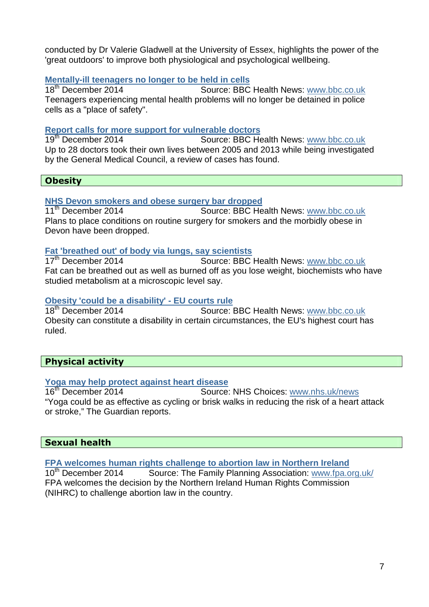conducted by Dr Valerie Gladwell at the University of Essex, highlights the power of the 'great outdoors' to improve both physiological and psychological wellbeing.

### **Mentally-ill teenagers no longer to be held in cells**

18<sup>th</sup> December 2014 **Source: BBC Health News: www.bbc.co.uk** Teenagers experiencing mental health problems will no longer be detained in police cells as a "place of safety".

### **Report calls for more support for vulnerable doctors**

19th December 2014 Source: BBC Health News: www.bbc.co.uk Up to 28 doctors took their own lives between 2005 and 2013 while being investigated by the General Medical Council, a review of cases has found.

### **Obesity**

# **NHS Devon smokers and obese surgery bar dropped**<br>11<sup>th</sup> December 2014 **Source: BBC He**

Source: BBC Health News: www.bbc.co.uk Plans to place conditions on routine surgery for smokers and the morbidly obese in Devon have been dropped.

### **Fat 'breathed out' of body via lungs, say scientists**

17<sup>th</sup> December 2014 **Source: BBC Health News: www.bbc.co.uk** Fat can be breathed out as well as burned off as you lose weight, biochemists who have studied metabolism at a microscopic level say.

### **Obesity 'could be a disability' - EU courts rule**

18<sup>th</sup> December 2014 Source: BBC Health News: www.bbc.co.uk Obesity can constitute a disability in certain circumstances, the EU's highest court has ruled.

### **Physical activity**

## **Yoga may help protect against heart disease**

Source: NHS Choices: www.nhs.uk/news "Yoga could be as effective as cycling or brisk walks in reducing the risk of a heart attack or stroke," The Guardian reports.

### **Sexual health**

**FPA welcomes human rights challenge to abortion law in Northern Ireland**

10<sup>th</sup> December 2014 Source: The Family Planning Association: www.fpa.org.uk/ FPA welcomes the decision by the Northern Ireland Human Rights Commission (NIHRC) to challenge abortion law in the country.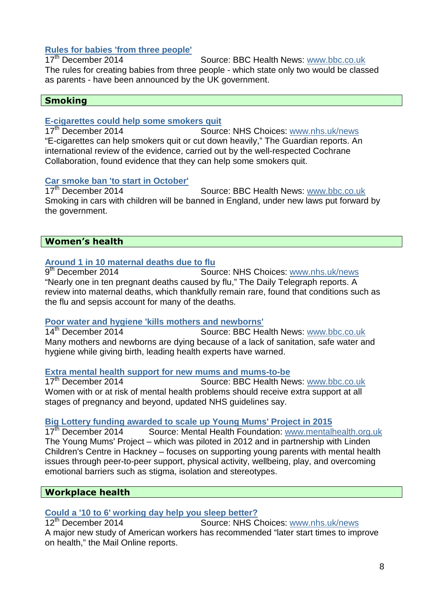# **Rules for babies 'from three people'**

Source: BBC Health News: www.bbc.co.uk The rules for creating babies from three people - which state only two would be classed as parents - have been announced by the UK government.

### **Smoking**

### **E-cigarettes could help some smokers quit**

17th December 2014Source: NHS Choices: www.nhs.uk/news "E-cigarettes can help smokers quit or cut down heavily," The Guardian reports. An international review of the evidence, carried out by the well-respected Cochrane Collaboration, found evidence that they can help some smokers quit.

### **Car smoke ban 'to start in October'**

17<sup>th</sup> December 2014 Source: BBC Health News: www.bbc.co.uk Smoking in cars with children will be banned in England, under new laws put forward by the government.

### **Women's health**

### **Around 1 in 10 maternal deaths due to flu**

 $9<sup>th</sup>$  December 2014 Source: NHS Choices: www.nhs.uk/news "Nearly one in ten pregnant deaths caused by flu," The Daily Telegraph reports. A review into maternal deaths, which thankfully remain rare, found that conditions such as the flu and sepsis account for many of the deaths.

# **Poor water and hygiene 'kills mothers and newborns'**

Source: BBC Health News: www.bbc.co.uk Many mothers and newborns are dying because of a lack of sanitation, safe water and hygiene while giving birth, leading health experts have warned.

### **Extra mental health support for new mums and mums-to-be**

17<sup>th</sup> December 2014 Source: BBC Health News: www.bbc.co.uk Women with or at risk of mental health problems should receive extra support at all stages of pregnancy and beyond, updated NHS guidelines say.

### **Big Lottery funding awarded to scale up Young Mums' Project in 2015**

17<sup>th</sup> December 2014 Source: Mental Health Foundation: www.mentalhealth.org.uk The Young Mums' Project – which was piloted in 2012 and in partnership with Linden Children's Centre in Hackney – focuses on supporting young parents with mental health issues through peer-to-peer support, physical activity, wellbeing, play, and overcoming emotional barriers such as stigma, isolation and stereotypes.

### **Workplace health**

## **Could a '10 to 6' working day help you sleep better?**

Source: NHS Choices: www.nhs.uk/news A major new study of American workers has recommended "later start times to improve on health," the Mail Online reports.